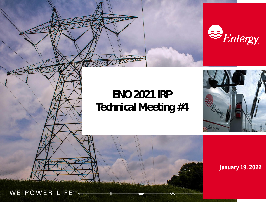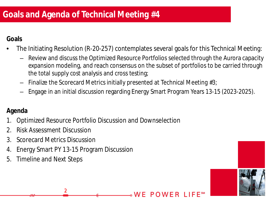**Goals**

- The Initiating Resolution (R-20-257) contemplates several goals for this Technical Meeting:
	- Review and discuss the Optimized Resource Portfolios selected through the Aurora capacity expansion modeling, and reach consensus on the subset of portfolios to be carried through the total supply cost analysis and cross testing;
	- Finalize the Scorecard Metrics initially presented at Technical Meeting #3;
	- Engage in an initial discussion regarding Energy Smart Program Years 13-15 (2023-2025).

。W E

POWER

### **Agenda**

- 1. Optimized Resource Portfolio Discussion and Downselection
- 2. Risk Assessment Discussion
- 3. Scorecard Metrics Discussion
- 4. Energy Smart PY 13-15 Program Discussion

2

5. Timeline and Next Steps

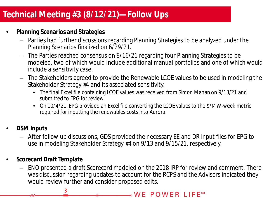# **Click to edit Master title style Technical Meeting #3 (8/12/21)—Follow Ups**

- **Planning Scenarios and Strategies**
	- Parties had further discussions regarding Planning Strategies to be analyzed under the Planning Scenarios finalized on 6/29/21.
	- The Parties reached consensus on 8/16/21 regarding four Planning Strategies to be modeled, two of which would include additional manual portfolios and one of which would include a sensitivity case.
	- The Stakeholders agreed to provide the Renewable LCOE values to be used in modeling the Stakeholder Strategy #4 and its associated sensitivity.
		- The final Excel file containing LCOE values was received from Simon Mahan on 9/13/21 and submitted to EPG for review.
		- On 10/4/21, EPG provided an Excel file converting the LCOE values to the \$/MW-week metric required for inputting the renewables costs into Aurora.
- **DSM Inputs**
	- After follow up discussions, GDS provided the necessary EE and DR input files for EPG to use in modeling Stakeholder Strategy #4 on 9/13 and 9/15/21, respectively.
- **Scorecard Draft Template**

3

– ENO presented a draft Scorecard modeled on the 2018 IRP for review and comment. There was discussion regarding updates to account for the RCPS and the Advisors indicated they would review further and consider proposed edits.

⊸WE POWER LIFE℠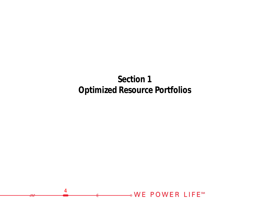# **Section 1 Optimized Resource Portfolios**

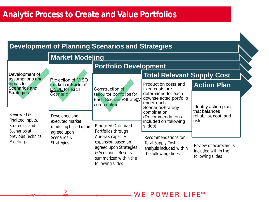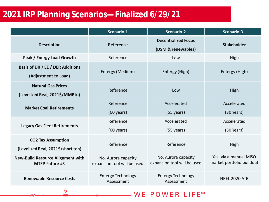## **Click to edit Master title style 2021 IRP Planning Scenarios—Finalized 6/29/21**

6

|                                                                   | Scenario 1                                         | <b>Scenario 2</b>                                  | <b>Scenario 3</b>                                   |
|-------------------------------------------------------------------|----------------------------------------------------|----------------------------------------------------|-----------------------------------------------------|
| <b>Description</b>                                                | Reference                                          | <b>Decentralized Focus</b><br>(DSM & renewables)   | <b>Stakeholder</b>                                  |
| Peak / Energy Load Growth                                         | Reference                                          | Low                                                | High                                                |
| Basis of DR / EE / DER Additions<br>(Adjustment to Load)          | Entergy (Medium)                                   | Entergy (High)                                     | Entergy (High)                                      |
| <b>Natural Gas Prices</b><br>(Levelized Real, 2021\$/MMBtu)       | Reference                                          | Low                                                | High                                                |
| <b>Market Coal Retirements</b>                                    | Reference<br>$(60 \text{ years})$                  | Accelerated<br>$(55 \text{ years})$                | Accelerated<br>$(30$ Years)                         |
| <b>Legacy Gas Fleet Retirements</b>                               | Reference<br>$(60 \text{ years})$                  | Accelerated<br>$(55 \text{ years})$                | Accelerated<br>(30 Years)                           |
| <b>CO2 Tax Assumption</b><br>(Levelized Real, 2021\$/short ton)   | Reference                                          | Reference                                          | High                                                |
| <b>New-Build Resource Alignment with</b><br><b>MTEP Future #3</b> | No, Aurora capacity<br>expansion tool will be used | No, Aurora capacity<br>expansion tool will be used | Yes, via a manual MISO<br>market portfolio buildout |
| <b>Renewable Resource Costs</b>                                   | <b>Entergy Technology</b><br>Assessment            | <b>Entergy Technology</b><br>Assessment            | <b>NREL 2020 ATB</b>                                |

**.WE POWER LIFE<sup>SM</sup>**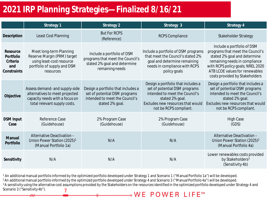### **title styles in the style**<br><u>Title style style style style style style style i style style style style style style style style style style st</u> **2021 IRP Planning Strategies—Finalized 8/16/21**

|                                                         | Strategy 1                                                                                                                         | Strategy 2                                                                                                               | Strategy 3                                                                                                                                                                              | Strategy 4                                                                                                                                                                                                                               |
|---------------------------------------------------------|------------------------------------------------------------------------------------------------------------------------------------|--------------------------------------------------------------------------------------------------------------------------|-----------------------------------------------------------------------------------------------------------------------------------------------------------------------------------------|------------------------------------------------------------------------------------------------------------------------------------------------------------------------------------------------------------------------------------------|
| Description                                             | Least Cost Planning                                                                                                                | <b>But For RCPS</b><br>(Reference)                                                                                       | <b>RCPS Compliance</b>                                                                                                                                                                  | <b>Stakeholder Strategy</b>                                                                                                                                                                                                              |
| Resource<br>Portfolio<br>Criteria<br>and<br>Constraints | Meet long-term Planning<br>Reserve Margin (PRM) target<br>using least-cost resource<br>portfolio of supply and DSM<br>resources    | Include a portfolio of DSM<br>programs that meet the Council's<br>stated 2% goal and determine<br>remaining needs        | Include a portfolio of DSM programs<br>that meet the Council's stated 2%<br>goal and determine remaining<br>needs in compliance with RCPS<br>policy goals                               | Include a portfolio of DSM<br>programs that meet the Council's<br>stated 2% goal and determine<br>remaining needs in compliance<br>with RCPS policy goals; NREL 2020<br>ATB LCOE values for renewables<br>costs provided by Stakeholders |
| Objective                                               | Assess demand- and supply-side<br>alternatives to meet projected<br>capacity needs with a focus on<br>total relevant supply costs. | Design a portfolio that includes a<br>set of potential DSM programs<br>intended to meet the Council's<br>stated 2% goal. | Design a portfolio that includes a<br>set of potential DSM programs<br>intended to meet the Council's<br>stated 2% goal.<br>Excludes new resources that would<br>not be RCPS compliant. | Design a portfolio that includes a<br>set of potential DSM programs<br>intended to meet the Council's<br>stated 2% goal.<br>Excludes new resources that would<br>not be RCPS compliant.                                                  |
| <b>DSM</b> Input<br>Case                                | Reference Case<br>(Guidehouse)                                                                                                     | 2% Program Case<br>(Guidehouse)                                                                                          | 2% Program Case<br>(Guidehouse)                                                                                                                                                         | High Case<br>(GDS)                                                                                                                                                                                                                       |
| Manual<br>Portfolio                                     | Alternative Deactivation -<br>Union Power Station (2025) <sup>1</sup><br>(Manual Portfolio 1a)                                     | N/A                                                                                                                      | N/A                                                                                                                                                                                     | Alternative Deactivation -<br>Union Power Station (2025) <sup>2</sup><br>(Manual Portfolio 4a)                                                                                                                                           |
| Sensitivity                                             | N/A                                                                                                                                | N/A                                                                                                                      | N/A                                                                                                                                                                                     | Lower renewables costs provided<br>by Stakeholders <sup>3</sup><br>(Sensitivity 4b)                                                                                                                                                      |

<sup>1</sup> An additional manual portfolio informed by the optimized portfolio developed under Strategy 1 and Scenario 1 ("Manual Portfolio 1a") will be developed.

<sup>2</sup> An additional manual portfolio informed by the optimized portfolio developed under Strategy 4 and Scenario 3 ("Manual Portfolio 4a") will be developed.

<sup>3</sup>A sensitivity using the alternative cost assumptions provided by the Stakeholders on the resources identified in the optimized portfolio developed under Strategy 4 and Scenario 3 ("Sensitivity 4b").7 ∘WE POWER LIFESM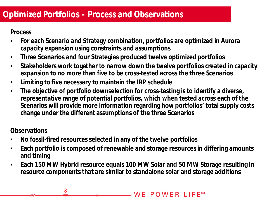**Process**

- **For each Scenario and Strategy combination, portfolios are optimized in Aurora capacity expansion using constraints and assumptions**
- **Three Scenarios and four Strategies produced twelve optimized portfolios**
- **Stakeholders work together to narrow down the twelve portfolios created in capacity expansion to no more than five to be cross-tested across the three Scenarios**
- **Limiting to five necessary to maintain the IRP schedule**

8

• **The objective of portfolio downselection for cross-testing is to identify a diverse, representative range of potential portfolios, which when tested across each of the Scenarios will provide more information regarding how portfolios' total supply costs change under the different assumptions of the three Scenarios**

**Observations**

- **No fossil-fired resources selected in any of the twelve portfolios**
- **Each portfolio is composed of renewable and storage resources in differing amounts and timing**
- **Each 150 MW Hybrid resource equals 100 MW Solar and 50 MW Storage resulting in resource components that are similar to standalone solar and storage additions**

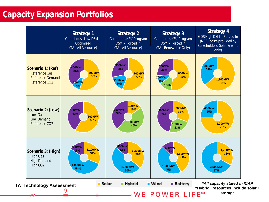## **title style Capacity Expansion Portfolios**

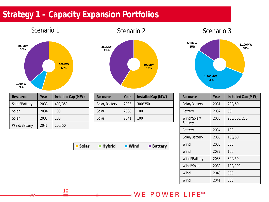# Strategy 1 – Capacity Expansion Portfolios









| Resource      | Year | Installed Cap (MW) |
|---------------|------|--------------------|
| Solar/Battery | 2033 | 400/350            |
| Solar         | 2034 | 100                |
| Solar         | 2035 | 100                |
| Wind/Battery  | 2041 | 100/50             |

| Resource      | Year | Installed Cap (MW) |
|---------------|------|--------------------|
| Solar/Battery | 2033 | 300/350            |
| Solar         | 2038 | 100                |
| Solar         | 2041 | 100                |

Solar - Hybrid **U** Wind **Battery** 

| Resource               | Year | Installed Cap (MW) |
|------------------------|------|--------------------|
| Solar/Battery          | 2031 | 200/50             |
| Battery                | 2032 | 50                 |
| Wind/Solar/<br>Battery | 2033 | 200/700/250        |
| Battery                | 2034 | 100                |
| Solar/Battery          | 2035 | 100/50             |
| Wind                   | 2036 | 300                |
| Wind                   | 2037 | 100                |
| Wind/Battery           | 2038 | 300/50             |
| Wind/Solar             | 2039 | 100/100            |
| Wind                   | 2040 | 300                |
| Wind                   | 2041 | 600                |

### **.WE POWER LIFE<sup>SM</sup>**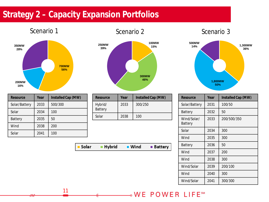## Strategy 2 – Capacity Expansion Portfolios

### Scenario 1 Scenario 2 Scenario 2 Scenario 3 **700MW 56% 200MW 350MW 28%**

**16%**

| Scenario z          |                                     |
|---------------------|-------------------------------------|
| <b>250MW</b><br>39% | 100MW<br>15%<br><b>300MW</b><br>46% |
|                     |                                     |

| Resource       | Year | Installed Cap (MW) |
|----------------|------|--------------------|
| Solar/Battery  | 2033 | 500/300            |
| Solar          | 2034 | 100                |
| <b>Battery</b> | 2035 | 50                 |
| Wind           | 2038 | 200                |
| Solar          | 2041 | 100                |

| Resource           | Year | Installed Cap (MW) |
|--------------------|------|--------------------|
| Hybrid/<br>Battery | 2033 | 300/250            |
| Solar              | 2038 | 100                |

Solar ■ Hybrid **Nind Battery** 



| Resource               | Year | Installed Cap (MW) |
|------------------------|------|--------------------|
| Solar/Battery          | 2031 | 100/50             |
| <b>Battery</b>         | 2032 | 50                 |
| Wind/Solar/<br>Battery | 2033 | 200/500/350        |
| Solar                  | 2034 | 300                |
| Wind                   | 2035 | 300                |
| Battery                | 2036 | 50                 |
| Wind                   | 2037 | 200                |
| Wind                   | 2038 | 300                |
| Wind/Solar             | 2039 | 200/100            |
| Wind                   | 2040 | 300                |
| Wind/Solar             | 2041 | 300/300            |

### **.WE POWER LIFE<sup>SM</sup>**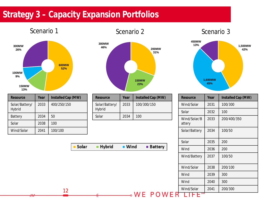## Strategy 3 – Capacity Expansion Portfolios



| Resource                 | Year | Installed Cap (MW) |
|--------------------------|------|--------------------|
| Solar/Battery/<br>Hybrid | 2033 | 400/250/150        |
| <b>Battery</b>           | 2034 | 50                 |
| Solar                    | 2038 | 100                |
| Wind/Solar               | 2041 | 100/100            |



| Resource                 | Year | Installed Cap (MW) |
|--------------------------|------|--------------------|
| Solar/Battery/<br>Hybrid | 2033 | 100/300/150        |
| Solar                    | 2034 | 100                |





| Resource               | Year | Installed Cap (MW) |
|------------------------|------|--------------------|
| Wind/Solar             | 2031 | 100/300            |
| Solar                  | 2032 | 100                |
| Wind/Solar/B<br>attery | 2033 | 200/400/350        |
| Solar/Battery          | 2034 | 100/50             |
| Solar                  | 2035 | 200                |
| Wind                   | 2036 | 200                |
| Wind/Battery           | 2037 | 100/50             |
| Wind/Solar             | 2038 | 200/100            |
| Wind                   | 2039 | 300                |
| Wind                   | 2040 | 300                |
| Wind/Solar             | 2041 | 200/300            |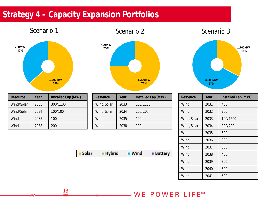# Strategy 4 – Capacity Expansion Portfolios



| Resource   | Year | Installed Cap (MW) |
|------------|------|--------------------|
| Wind/Solar | 2033 | 300/1100           |
| Wind/Solar | 2034 | 100/100            |
| Wind       | 2035 | 100                |
| Wind       | 2038 | 200                |



| Resource   | Year | Installed Cap (MW) |
|------------|------|--------------------|
| Wind/Solar | 2033 | 100/1100           |
| Wind/Solar | 2034 | 100/100            |
| Wind       | 2035 | 100                |
| Wind       | 2038 | 100                |





| Resource   | Year | Installed Cap (MW) |
|------------|------|--------------------|
| Wind       | 2031 | 400                |
| Wind       | 2032 | 200                |
| Wind/Solar | 2033 | 100/1500           |
| Wind/Solar | 2034 | 200/200            |
| Wind       | 2035 | 500                |
| Wind       | 2036 | 300                |
| Wind       | 2037 | 300                |
| Wind       | 2038 | 400                |
| Wind       | 2039 | 300                |
| Wind       | 2040 | 300                |
| Wind       | 2041 | 500                |

### NE POWER LIFESM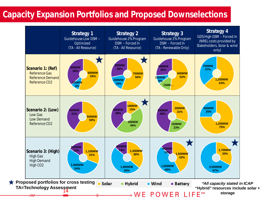## **Capacity Expansion Portfolios and Proposed Downselections**

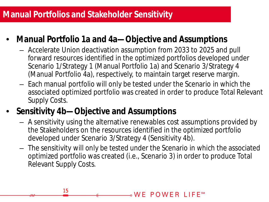## **Manual Portfolios and Stakeholder Sensitivity**

- **Manual Portfolio 1a and 4a—Objective and Assumptions**
	- Accelerate Union deactivation assumption from 2033 to 2025 and pull forward resources identified in the optimized portfolios developed under Scenario 1/Strategy 1 (Manual Portfolio 1a) and Scenario 3/Strategy 4 (Manual Portfolio 4a), respectively, to maintain target reserve margin.
	- Each manual portfolio will only be tested under the Scenario in which the associated optimized portfolio was created in order to produce Total Relevant Supply Costs.
- **Sensitivity 4b—Objective and Assumptions**
	- A sensitivity using the alternative renewables cost assumptions provided by the Stakeholders on the resources identified in the optimized portfolio developed under Scenario 3/Strategy 4 (Sensitivity 4b).
	- The sensitivity will only be tested under the Scenario in which the associated optimized portfolio was created (i.e., Scenario 3) in order to produce Total Relevant Supply Costs.

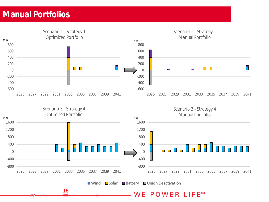## **title style Manual Portfolios**

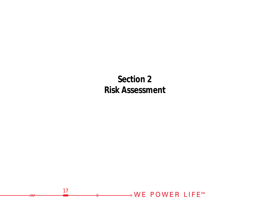**Section 2 Risk Assessment**

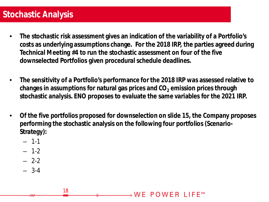## Stochastic Analysis

- **The stochastic risk assessment gives an indication of the variability of a Portfolio's costs as underlying assumptions change. For the 2018 IRP, the parties agreed during Technical Meeting #4 to run the stochastic assessment on four of the five downselected Portfolios given procedural schedule deadlines.**
- **The sensitivity of a Portfolio's performance for the 2018 IRP was assessed relative to changes in assumptions for natural gas prices and CO<sup>2</sup> emission prices through stochastic analysis. ENO proposes to evaluate the same variables for the 2021 IRP.**
- **Of the five portfolios proposed for downselection on slide 15, the Company proposes performing the stochastic analysis on the following four portfolios (Scenario-Strategy):**

 $_{\circ}$  WF POWER LIFF  $^{\circ}$  M

- $-1-1$
- 1-2
- $-2-2$
- 3-4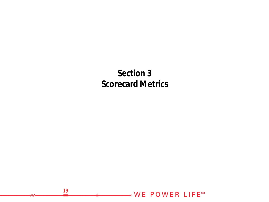**Section 3 Scorecard Metrics**

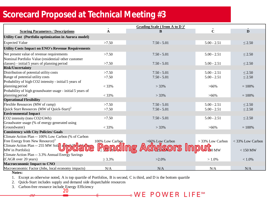# Scorecard Proposed at Technical Meeting #3

| Grading Scale (from A to D) <sup>1</sup>                                                          |                  |
|---------------------------------------------------------------------------------------------------|------------------|
| $\overline{\mathbf{C}}$<br>A<br><b>Scoring Parameters / Descriptions</b><br>B                     | D                |
| Utility Cost (Portfolio optimization in Aurora model)                                             |                  |
| $5.00 - 2.51$<br><b>Expected Value</b><br>>7.50<br>$7.50 - 5.01$                                  | $\leq$ 2.50      |
| <b>Utility Costs Impact on ENO's Revenue Requirements</b>                                         |                  |
| Net present value of revenue requirements<br>$5.00 - 2.51$<br>>7.50<br>$7.50 - 5.01$              | $\leq$ 2.50      |
| Nominal Portfolio Value (residential/other customer                                               |                  |
| classes) - initial 5 years of planning period<br>>7.50<br>$7.50 - 5.01$<br>$5.00 - 2.51$          | $\leq 2.50$      |
| <b>Risk/Uncertainty</b>                                                                           |                  |
| Distribution of potential utility costs<br>$5.00 - 2.51$<br>>7.50<br>$7.50 - 5.01$                | $\leq$ 2.50      |
| Range of potential utility costs<br>>7.50<br>$7.50 - 5.01$<br>$5.00 - 2.51$                       | $\leq$ 2.50      |
| Probability of high CO2 intensity - initial 5 years of                                            |                  |
| planning period<br>$< 33\%$<br>$> 33\%$<br>$>66\%$                                                | $= 100%$         |
| Probability of high groundwater usage - initial 5 years of                                        |                  |
| planning period<br>$< 33\%$<br>$> 33\%$<br>$>66\%$                                                | $= 100%$         |
| <b>Operational Flexibility</b>                                                                    |                  |
| Flexible Resources (MW of ramp)<br>>7.50<br>$5.00 - 2.51$<br>$7.50 - 5.01$                        | $\leq$ 2.50      |
| Quick Start Resources (MW of Quick-Start) <sup>2</sup><br>>7.50<br>$7.50 - 5.01$<br>$5.00 - 2.51$ | $\leq$ 2.50      |
| <b>Environmental Impact</b>                                                                       |                  |
| CO2 intensity (tons CO2/GWh)<br>>7.50<br>$7.50 - 5.01$<br>$5.00 - 2.51$                           | $\leq$ 2.50      |
| Groudwater usage (% of energy generated using                                                     |                  |
| Groundwater)<br>$< 33\%$<br>$> 33\%$<br>$>66\%$                                                   | $= 100%$         |
| <b>Consistency with City Policies/ Goals</b>                                                      |                  |
| Climate Action Plan -- 100% Low Carbon (% of Carbon                                               |                  |
| Free Energy from New Resource) $3$<br>100% Low Carbon<br>>66% Low Carbon<br>$>$ 33% Low Carbon    | < 33% Low Carbon |
| Climate Action Plan -- 255 MW Sola                                                                |                  |
| <b>Pending</b><br>$\mathbf{d}$ wisors Input $_{\tiny\text{0 MW}}$<br>MW in Portfolio)             | $< 150$ MW       |
| Climate Action Plan -- 3.3% Annual Energy Savings                                                 |                  |
| (CAGR over 20 years)<br>$\geq 3.3\%$<br>$>2.0\%$<br>$>1.0\%$                                      | $< 1.0\%$        |
| Macroeconomic Impact to CNO                                                                       |                  |
| Macroeconomic Factor (Jobs, local economy impacts)<br>N/A<br>N/A<br>N/A<br>$N = 4$                | N/A              |

**Notes:**

1. Except as otherwise noted, A is top quartile of Portfolios, B is second, C is third, and D is the bottom quartile

2. Quick-Start includes supply and demand side dispatchable resources

20 3. Carbon-free resource include Energy Efficiency

### WE POWER LIFESM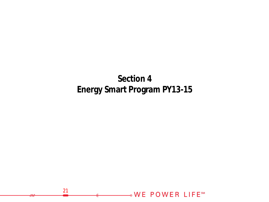# **Section 4 Energy Smart Program PY13-15**

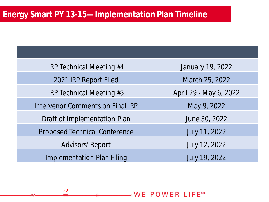### Energy Smart PY 13-15—Implementation Plan Timeline

22

| <b>IRP Technical Meeting #4</b>         | January 19, 2022       |
|-----------------------------------------|------------------------|
| 2021 IRP Report Filed                   | March 25, 2022         |
| IRP Technical Meeting #5                | April 29 - May 6, 2022 |
| <b>Intervenor Comments on Final IRP</b> | May 9, 2022            |
| Draft of Implementation Plan            | June 30, 2022          |
| <b>Proposed Technical Conference</b>    | July 11, 2022          |
| <b>Advisors' Report</b>                 | July 12, 2022          |
| <b>Implementation Plan Filing</b>       | <b>July 19, 2022</b>   |

**NE POWER LIFESM**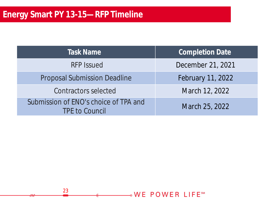| <b>Task Name</b>                                               | <b>Completion Date</b>   |
|----------------------------------------------------------------|--------------------------|
| <b>RFP Issued</b>                                              | December 21, 2021        |
| <b>Proposal Submission Deadline</b>                            | <b>February 11, 2022</b> |
| Contractors selected                                           | March 12, 2022           |
| Submission of ENO's choice of TPA and<br><b>TPE to Council</b> | March 25, 2022           |

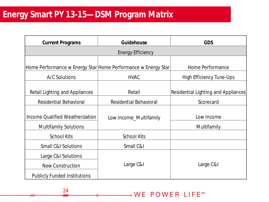### **Click to edit Master title style Energy Smart PY 13-15—DSM Program Matrix**

24

| <b>Current Programs</b>                                                | Guidehouse                    | <b>GDS</b>                          |
|------------------------------------------------------------------------|-------------------------------|-------------------------------------|
|                                                                        | <b>Energy Efficiency</b>      |                                     |
| Home Performance w Energy Star Home Performance w Energy Star          |                               | Home Performance                    |
| A/C Solutions                                                          | <b>HVAC</b>                   | <b>High Efficiency Tune-Ups</b>     |
| <b>Retail Lighting and Appliances</b>                                  | Retail                        | Residential Lighting and Appliances |
| <b>Residential Behavioral</b>                                          | <b>Residential Behavioral</b> | Scorecard                           |
| <b>Income Qualified Weatherization</b><br><b>Multifamily Solutions</b> | Low Income_Multifamily        | Low Income<br>Multifamily           |
| <b>School Kits</b>                                                     | <b>School Kits</b>            |                                     |
| <b>Small C&amp;I Solutions</b>                                         | Small C&I                     |                                     |
| Large C&I Solutions<br><b>New Construction</b>                         | Large C&I                     | Large C&I                           |
| <b>Publicly Funded Institutions</b>                                    |                               |                                     |

**.WE POWER LIFE<sup>SM</sup>**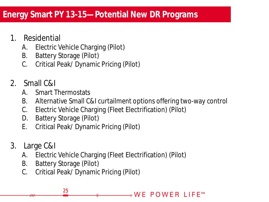# Energy Smart PY 13-15—Potential New DR Programs

- 1. Residential
	- A. Electric Vehicle Charging (Pilot)
	- B. Battery Storage (Pilot)
	- C. Critical Peak/ Dynamic Pricing (Pilot)
- 2. Small C&I
	- A. Smart Thermostats
	- B. Alternative Small C&I curtailment options offering two-way control
	- C. Electric Vehicle Charging (Fleet Electrification) (Pilot)
	- D. Battery Storage (Pilot)
	- E. Critical Peak/ Dynamic Pricing (Pilot)
- 3. Large C&I
	- A. Electric Vehicle Charging (Fleet Electrification) (Pilot)
	- B. Battery Storage (Pilot)

25

C. Critical Peak/ Dynamic Pricing (Pilot)

⊸WE POWER LIFE℠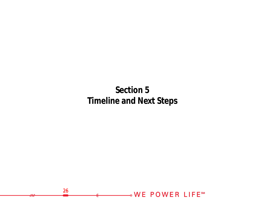# **Section 5 Timeline and Next Steps**